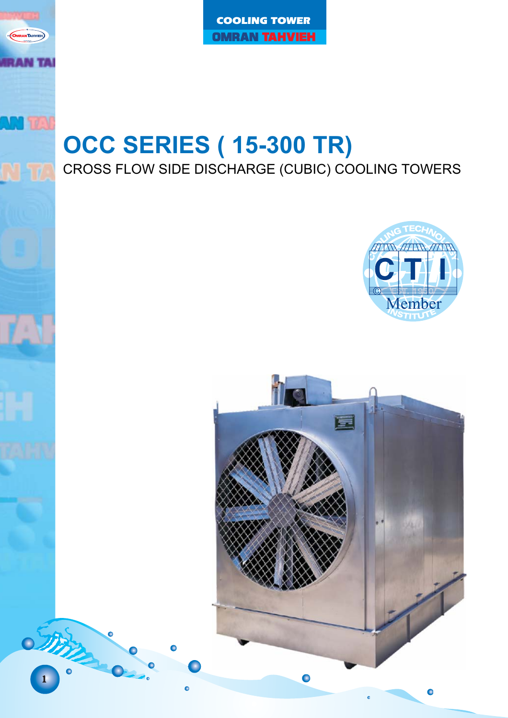COOLING TOWER **OMRAN TAHVIEH** 

# **CROSS FLOW SIDE DISCHARGE (CUBIC) COOLING TOWERS**





1

 $\circ$ 

**NTAHVIEH** 

ww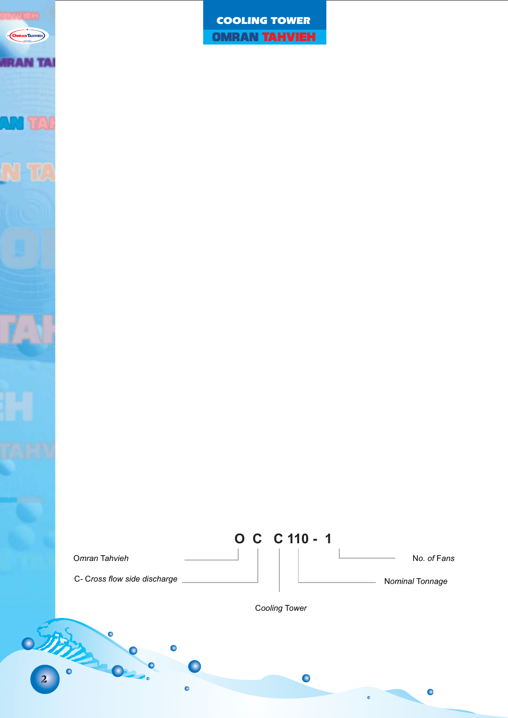

COOLING TOWER **OMRAN TAHVIEH** 

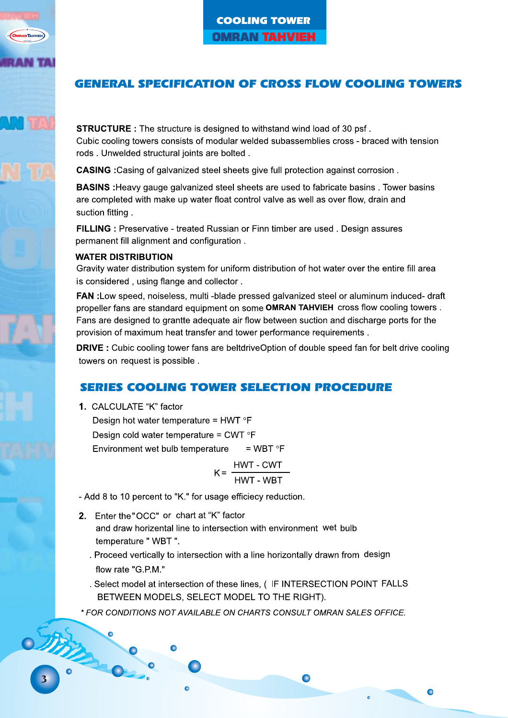## **GENERAL SPECIFICATION OF CROSS FLOW COOLING TOWERS**

**STRUCTURE**: The structure is designed to withstand wind load of 30 psf. Cubic cooling towers consists of modular welded subassemblies cross - braced with tension rods. Unwelded structural joints are bolted.

**CASING**: Casing of galvanized steel sheets give full protection against corrosion.

**BASINS**: Heavy gauge galvanized steel sheets are used to fabricate basins . Tower basins are completed with make up water float control valve as well as over flow, drain and suction fitting.

FILLING : Preservative - treated Russian or Finn timber are used. Design assures permanent fill alignment and configuration.

#### **WATER DISTRIBUTION**

Gravity water distribution system for uniform distribution of hot water over the entire fill area is considered, using flange and collector.

FAN : Low speed, noiseless, multi - blade pressed galvanized steel or aluminum induced- draft propeller fans are standard equipment on some OMRAN TAHVIEH cross flow cooling towers. Fans are designed to grantte adequate air flow between suction and discharge ports for the provision of maximum heat transfer and tower performance requirements.

DRIVE : Cubic cooling tower fans are beltdriveOption of double speed fan for belt drive cooling towers on request is possible.

#### **SERIES COOLING TOWER SELECTION PROCEDURE**

- 1. CALCULATE "K" factor
	- Design hot water temperature = HWT  $\degree$ F Design cold water temperature = CWT  $\degree$ F Environment wet bulb temperature  $=$  WBT  $\circ$ F
		- $K =$
- Add 8 to 10 percent to "K." for usage efficiecy reduction.
- 2. Fnter the "OCC" or chart at "K" factor and draw horizental line to intersection with environment wet bulb temperature "WBT".
	- . Proceed vertically to intersection with a line horizontally drawn from design flow rate "G.P.M."
	- . Select model at intersection of these lines. ( IF INTERSECTION POINT FALLS BETWEEN MODELS, SELECT MODEL TO THE RIGHT).

 $\bullet$ 

\* FOR CONDITIONS NOT AVAILABLE ON CHARTS CONSULT OMRAN SALES OFFICE.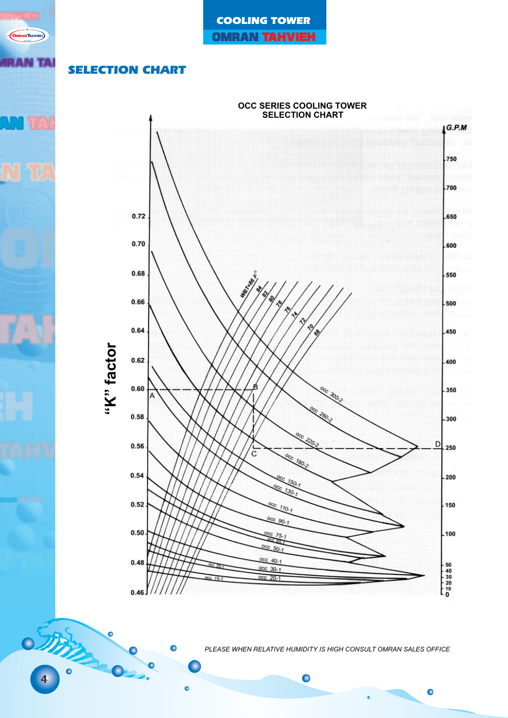

## SELECTION CHART

**OMRANTAHVIEH** 

**AN TA** 



*PLEASE WHEN RELATIVE HUMIDITY IS HIGH CONSULT OMRAN SALES OFFICE*

ó

 $\bullet$ 

 $\bullet$ 

4

Δ

 $\bullet$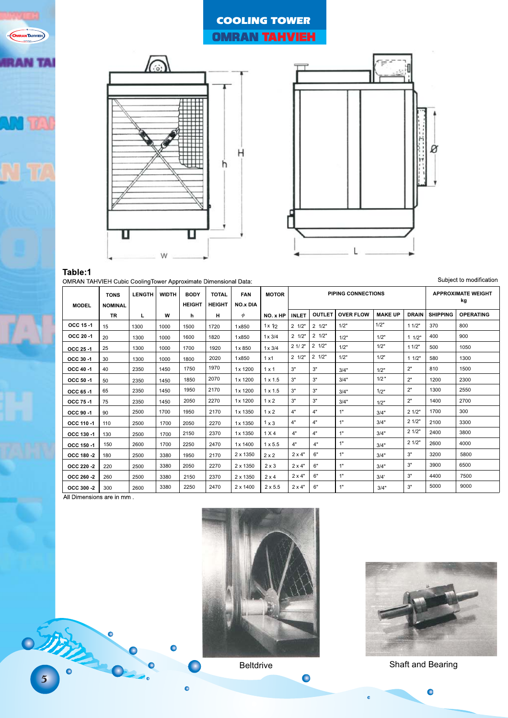# COOLING TOWER **OMRAN TAHVIEH**





#### Table:1 OMRAN TAHVIEH Cubic CoolingTower Ap nate Dimensional Datar

| Subject to modification<br>MRAN TAHVIEH Cubic CoolingTower Approximate Dimensional Data: |                |               |              |               |               |                 |                |                           |                 |                  |                |                           |                 |                  |
|------------------------------------------------------------------------------------------|----------------|---------------|--------------|---------------|---------------|-----------------|----------------|---------------------------|-----------------|------------------|----------------|---------------------------|-----------------|------------------|
|                                                                                          | <b>TONS</b>    | <b>LENGTH</b> | <b>WIDTH</b> | <b>BODY</b>   | <b>TOTAL</b>  | <b>FAN</b>      | <b>MOTOR</b>   | <b>PIPING CONNECTIONS</b> |                 |                  |                | <b>APPROXIMATE WEIGHT</b> |                 |                  |
| <b>MODEL</b>                                                                             | <b>NOMINAL</b> |               |              | <b>HEIGHT</b> | <b>HEIGHT</b> | <b>NO.x DIA</b> |                |                           |                 |                  | kg             |                           |                 |                  |
|                                                                                          | <b>TR</b>      | L             | W            | h             | н             | $\phi$          | NO. x HP       | <b>INLET</b>              | <b>OUTLET</b>   | <b>OVER FLOW</b> | <b>MAKE UP</b> | <b>DRAIN</b>              | <b>SHIPPING</b> | <b>OPERATING</b> |
| OCC 15-1                                                                                 | 15             | 1300          | 1000         | 1500          | 1720          | 1x850           | $1 \times 1/2$ | $2 \frac{1}{2}$           | $2 \frac{1}{2}$ | 1/2"             | 1/2"           | 11/2"                     | 370             | 800              |
| OCC 20-1                                                                                 | 20             | 1300          | 1000         | 1600          | 1820          | 1x850           | $1 \times 3/4$ | $2 \frac{1}{2}$           | $2 \frac{1}{2}$ | 1/2"             | 1/2"           | 11/2"                     | 400             | 900              |
| OCC 25 -1                                                                                | 25             | 1300          | 1000         | 1700          | 1920          | 1x850           | $1 \times 3/4$ | 21/2"                     | $2 \frac{1}{2}$ | 1/2"             | 1/2"           | 11/2"                     | 500             | 1050             |
| OCC 30-1                                                                                 | 30             | 1300          | 1000         | 1800          | 2020          | 1x850           | 1x1            | $2 \frac{1}{2}$           | $2 \frac{1}{2}$ | 1/2"             | 1/2"           | 11/2"                     | 580             | 1300             |
| OCC 40-1                                                                                 | 40             | 2350          | 1450         | 1750          | 1970          | 1x 1200         | $1 \times 1$   | 3"                        | 3"              | 3/4"             | 1/2"           | 2"                        | 810             | 1500             |
| OCC 50-1                                                                                 | 50             | 2350          | 1450         | 1850          | 2070          | 1x 1200         | $1 \times 1.5$ | 3"                        | 3"              | 3/4"             | $1/2$ "        | 2"                        | 1200            | 2300             |
| OCC 65-1                                                                                 | 65             | 2350          | 1450         | 1950          | 2170          | 1x 1200         | $1 \times 1.5$ | 3"                        | 3"              | 3/4"             | 1/2"           | 2"                        | 1300            | 2550             |
| OCC 75 -1                                                                                | 75             | 2350          | 1450         | 2050          | 2270          | 1x 1200         | $1 \times 2$   | 3"                        | 3"              | 3/4"             | 1/2"           | 2"                        | 1400            | 2700             |
| OCC 90 -1                                                                                | 90             | 2500          | 1700         | 1950          | 2170          | 1x 1350         | $1 \times 2$   | 4"                        | 4"              | 1"               | 3/4"           | 21/2"                     | 1700            | 300              |
| OCC 110-1                                                                                | 110            | 2500          | 1700         | 2050          | 2270          | 1x 1350         | $1 \times 3$   | 4"                        | 4"              | 1"               | 3/4"           | 21/2"                     | 2100            | 3300             |
| OCC 130 -1                                                                               | 130            | 2500          | 1700         | 2150          | 2370          | 1x 1350         | 1 X 4          | 4"                        | 4"              | 1"               | 3/4"           | 21/2"                     | 2400            | 3800             |
| OCC 150-1                                                                                | 150            | 2600          | 1700         | 2250          | 2470          | 1x 1400         | $1 \times 5.5$ | 4"                        | 4"              | 1"               | 3/4"           | 21/2"                     | 2600            | 4000             |
| OCC 180 -2                                                                               | 180            | 2500          | 3380         | 1950          | 2170          | 2 x 1350        | $2 \times 2$   | $2 \times 4"$             | 6"              | 1"               | 3/4"           | 3"                        | 3200            | 5800             |
| OCC 220 -2                                                                               | 220            | 2500          | 3380         | 2050          | 2270          | 2 x 1350        | $2 \times 3$   | $2 \times 4"$             | 6"              | 1"               | 3/4"           | 3"                        | 3900            | 6500             |
| OCC 260 -2                                                                               | 260            | 2500          | 3380         | 2150          | 2370          | 2 x 1350        | $2 \times 4$   | $2 \times 4"$             | 6"              | 1"               | 3/4'           | 3"                        | 4400            | 7500             |
| OCC 300 -2                                                                               | 300            | 2600          | 3380         | 2250          | 2470          | $2 \times 1400$ | $2 \times 5.5$ | $2 \times 4"$             | 6"              | 1"               | 3/4"           | 3"                        | 5000            | 9000             |
|                                                                                          |                |               |              |               |               |                 |                |                           |                 |                  |                |                           |                 |                  |





 $\bullet$ 

a

 $\bullet$ 



Beltdrive Shaft and Bearing

 $\bullet$ 

ó

Small

**OMRANTAHVIEH** 

**AN TAI**